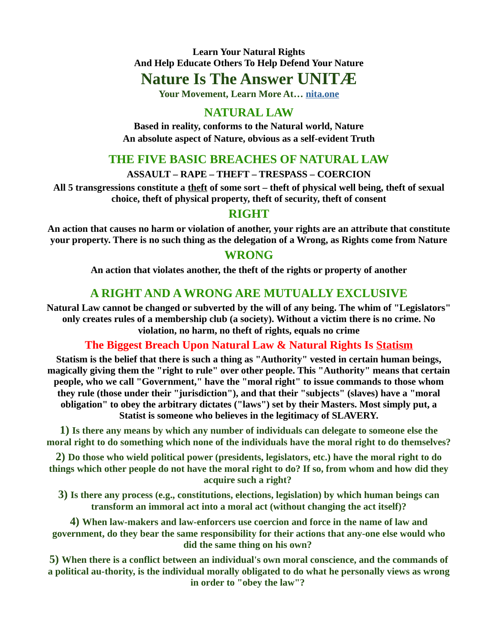# **Nature Is The Answer UNITÆ**

**Your Movement, Learn More At… nita.one**

# **NATURAL LAW**

**Based in reality, conforms to the Natural world, Nature An absolute aspect of Nature, obvious as a self-evident Truth**

### **THE FIVE BASIC BREACHES OF NATURAL LAW**

**ASSAULT – RAPE – THEFT – TRESPASS – COERCION**

**All 5 transgressions constitute a theft of some sort – theft of physical well being, theft of sexual choice, theft of physical property, theft of security, theft of consent**

### **RIGHT**

**An action that causes no harm or violation of another, your rights are an attribute that constitute your property. There is no such thing as the delegation of a Wrong, as Rights come from Nature**

### **WRONG**

**An action that violates another, the theft of the rights or property of another**

# **A RIGHT AND A WRONG ARE MUTUALLY EXCLUSIVE**

**Natural Law cannot be changed or subverted by the will of any being. The whim of "Legislators" only creates rules of a membership club (a society). Without a victim there is no crime. No violation, no harm, no theft of rights, equals no crime**

### **The Biggest Breach Upon Natural Law & Natural Rights Is Statism**

**Statism is the belief that there is such a thing as "Authority" vested in certain human beings, magically giving them the "right to rule" over other people. This "Authority" means that certain people, who we call "Government," have the "moral right" to issue commands to those whom they rule (those under their "jurisdiction"), and that their "subjects" (slaves) have a "moral obligation" to obey the arbitrary dictates ("laws") set by their Masters. Most simply put, a Statist is someone who believes in the legitimacy of SLAVERY.**

**1) Is there any means by which any number of individuals can delegate to someone else the moral right to do something which none of the individuals have the moral right to do themselves?**

**2) Do those who wield political power (presidents, legislators, etc.) have the moral right to do things which other people do not have the moral right to do? If so, from whom and how did they acquire such a right?** 

**3) Is there any process (e.g., constitutions, elections, legislation) by which human beings can transform an immoral act into a moral act (without changing the act itself)?**

**4) When law-makers and law-enforcers use coercion and force in the name of law and government, do they bear the same responsibility for their actions that any-one else would who did the same thing on his own?** 

**5) When there is a conflict between an individual's own moral conscience, and the commands of a political au-thority, is the individual morally obligated to do what he personally views as wrong in order to "obey the law"?**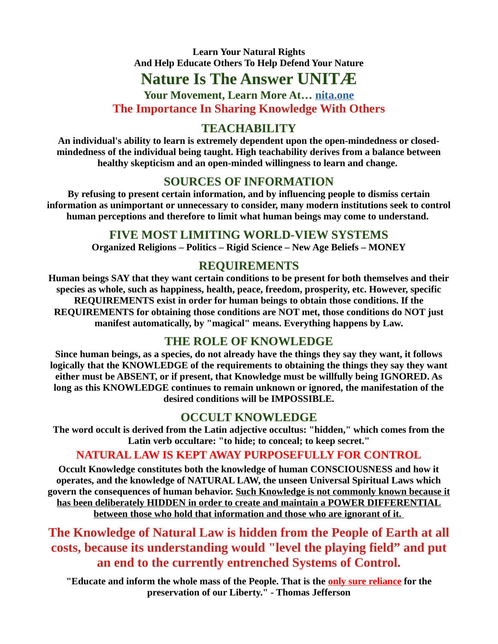# **Nature Is The Answer UNITÆ**

**Your Movement, Learn More At… nita.one The Importance In Sharing Knowledge With Others**

# **TEACHABILITY**

**An individual's ability to learn is extremely dependent upon the open-mindedness or closedmindedness of the individual being taught. High teachability derives from a balance between healthy skepticism and an open-minded willingness to learn and change.** 

### **SOURCES OF INFORMATION**

**By refusing to present certain information, and by influencing people to dismiss certain information as unimportant or unnecessary to consider, many modern institutions seek to control human perceptions and therefore to limit what human beings may come to understand.** 

### **FIVE MOST LIMITING WORLD-VIEW SYSTEMS**

**Organized Religions – Politics – Rigid Science – New Age Beliefs – MONEY**

# **REQUIREMENTS**

**Human beings SAY that they want certain conditions to be present for both themselves and their species as whole, such as happiness, health, peace, freedom, prosperity, etc. However, specific REQUIREMENTS exist in order for human beings to obtain those conditions. If the REQUIREMENTS for obtaining those conditions are NOT met, those conditions do NOT just manifest automatically, by "magical" means. Everything happens by Law.**

# **THE ROLE OF KNOWLEDGE**

**Since human beings, as a species, do not already have the things they say they want, it follows logically that the KNOWLEDGE of the requirements to obtaining the things they say they want either must be ABSENT, or if present, that Knowledge must be willfully being IGNORED. As long as this KNOWLEDGE continues to remain unknown or ignored, the manifestation of the desired conditions will be IMPOSSIBLE.**

# **OCCULT KNOWLEDGE**

**The word occult is derived from the Latin adjective occultus: "hidden," which comes from the Latin verb occultare: "to hide; to conceal; to keep secret."**

# **NATURAL LAW IS KEPT AWAY PURPOSEFULLY FOR CONTROL**

**Occult Knowledge constitutes both the knowledge of human CONSCIOUSNESS and how it operates, and the knowledge of NATURAL LAW, the unseen Universal Spiritual Laws which govern the consequences of human behavior. Such Knowledge is not commonly known because it has been deliberately HIDDEN in order to create and maintain a POWER DIFFERENTIAL between those who hold that information and those who are ignorant of it.** 

**The Knowledge of Natural Law is hidden from the People of Earth at all costs, because its understanding would "level the playing field" and put an end to the currently entrenched Systems of Control.**

**"Educate and inform the whole mass of the People. That is the only sure reliance for the preservation of our Liberty." - Thomas Jefferson**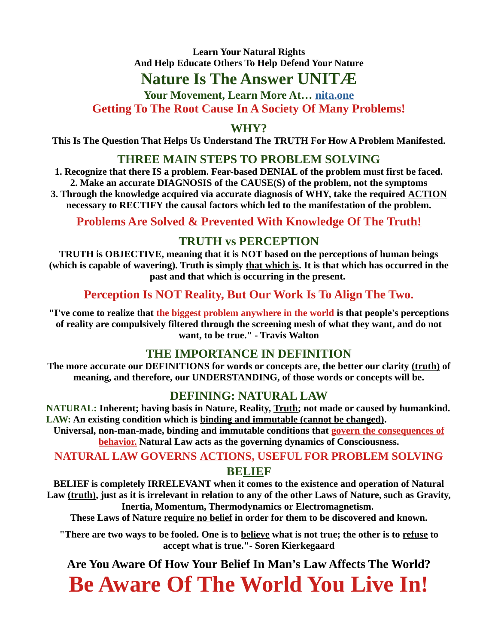# **Nature Is The Answer UNITÆ**

**Your Movement, Learn More At… nita.one Getting To The Root Cause In A Society Of Many Problems!**

**WHY?**

**This Is The Question That Helps Us Understand The TRUTH For How A Problem Manifested.**

### **THREE MAIN STEPS TO PROBLEM SOLVING**

**1. Recognize that there IS a problem. Fear-based DENIAL of the problem must first be faced. 2. Make an accurate DIAGNOSIS of the CAUSE(S) of the problem, not the symptoms 3. Through the knowledge acquired via accurate diagnosis of WHY, take the required ACTION necessary to RECTIFY the causal factors which led to the manifestation of the problem.**

**Problems Are Solved & Prevented With Knowledge Of The Truth!**

# **TRUTH vs PERCEPTION**

**TRUTH is OBJECTIVE, meaning that it is NOT based on the perceptions of human beings (which is capable of wavering). Truth is simply that which is. It is that which has occurred in the past and that which is occurring in the present.** 

# **Perception Is NOT Reality, But Our Work Is To Align The Two.**

**"I've come to realize that the biggest problem anywhere in the world is that people's perceptions of reality are compulsively filtered through the screening mesh of what they want, and do not want, to be true." - Travis Walton**

# **THE IMPORTANCE IN DEFINITION**

**The more accurate our DEFINITIONS for words or concepts are, the better our clarity (truth) of meaning, and therefore, our UNDERSTANDING, of those words or concepts will be.**

# **DEFINING: NATURAL LAW**

**NATURAL: Inherent; having basis in Nature, Reality, Truth; not made or caused by humankind. LAW: An existing condition which is binding and immutable (cannot be changed).**

**Universal, non-man-made, binding and immutable conditions that govern the consequences of behavior. Natural Law acts as the governing dynamics of Consciousness.**

# **NATURAL LAW GOVERNS ACTIONS, USEFUL FOR PROBLEM SOLVING BELIEF**

**BELIEF is completely IRRELEVANT when it comes to the existence and operation of Natural Law (truth), just as it is irrelevant in relation to any of the other Laws of Nature, such as Gravity, Inertia, Momentum, Thermodynamics or Electromagnetism.** 

**These Laws of Nature require no belief in order for them to be discovered and known.**

**"There are two ways to be fooled. One is to believe what is not true; the other is to refuse to accept what is true."- Soren Kierkegaard**

**Are You Aware Of How Your Belief In Man's Law Affects The World?**

**Be Aware Of The World You Live In!**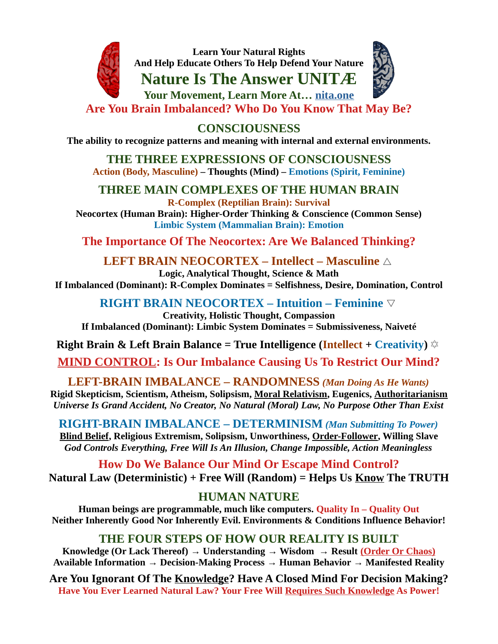

**Nature Is The Answer UNITÆ**



**Your Movement, Learn More At… nita.one**

**Are You Brain Imbalanced? Who Do You Know That May Be?**

**CONSCIOUSNESS**

**The ability to recognize patterns and meaning with internal and external environments.**

**THE THREE EXPRESSIONS OF CONSCIOUSNESS Action (Body, Masculine) – Thoughts (Mind) – Emotions (Spirit, Feminine)**

**THREE MAIN COMPLEXES OF THE HUMAN BRAIN R-Complex (Reptilian Brain): Survival**

**Neocortex (Human Brain): Higher-Order Thinking & Conscience (Common Sense) Limbic System (Mammalian Brain): Emotion**

**The Importance Of The Neocortex: Are We Balanced Thinking?**

**LEFT BRAIN NEOCORTEX – Intellect – Masculine** △

**Logic, Analytical Thought, Science & Math If Imbalanced (Dominant): R-Complex Dominates = Selfishness, Desire, Domination, Control**

**RIGHT BRAIN NEOCORTEX – Intuition – Feminine** ▽

**Creativity, Holistic Thought, Compassion If Imbalanced (Dominant): Limbic System Dominates = Submissiveness, Naiveté**

**Right Brain & Left Brain Balance = True Intelligence (Intellect + Creativity)** ✡

**MIND CONTROL: Is Our Imbalance Causing Us To Restrict Our Mind?**

**LEFT-BRAIN IMBALANCE – RANDOMNESS** *(Man Doing As He Wants)* **Rigid Skepticism, Scientism, Atheism, Solipsism, Moral Relativism, Eugenics, Authoritarianism** *Universe Is Grand Accident, No Creator, No Natural (Moral) Law, No Purpose Other Than Exist*

**RIGHT-BRAIN IMBALANCE – DETERMINISM** *(Man Submitting To Power)* **Blind Belief, Religious Extremism, Solipsism, Unworthiness, Order-Follower, Willing Slave** *God Controls Everything, Free Will Is An Illusion, Change Impossible, Action Meaningless*

**How Do We Balance Our Mind Or Escape Mind Control? Natural Law (Deterministic) + Free Will (Random) = Helps Us Know The TRUTH**

# **HUMAN NATURE**

**Human beings are programmable, much like computers. Quality In – Quality Out Neither Inherently Good Nor Inherently Evil. Environments & Conditions Influence Behavior!**

# **THE FOUR STEPS OF HOW OUR REALITY IS BUILT**

**Knowledge (Or Lack Thereof) → Understanding → Wisdom → Result (Order Or Chaos) Available Information → Decision-Making Process → Human Behavior → Manifested Reality**

**Are You Ignorant Of The Knowledge? Have A Closed Mind For Decision Making? Have You Ever Learned Natural Law? Your Free Will Requires Such Knowledge As Power!**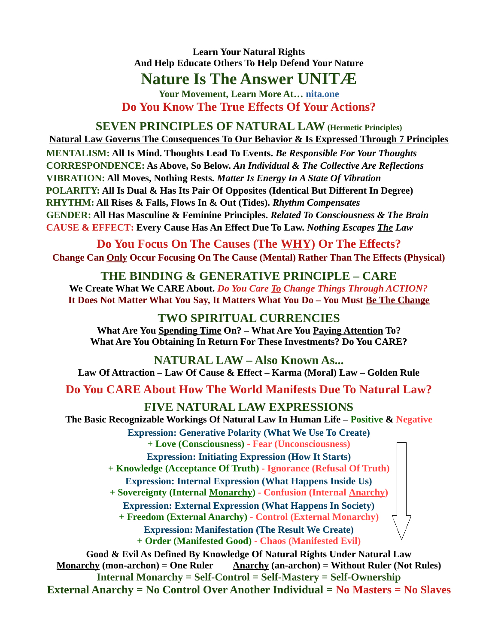# **Nature Is The Answer UNITÆ**

**Your Movement, Learn More At… nita.one Do You Know The True Effects Of Your Actions?**

#### **SEVEN PRINCIPLES OF NATURAL LAW (Hermetic Principles) Natural Law Governs The Consequences To Our Behavior & Is Expressed Through 7 Principles**

**MENTALISM: All Is Mind. Thoughts Lead To Events.** *Be Responsible For Your Thoughts* **CORRESPONDENCE: As Above, So Below.** *An Individual & The Collective Are Reflections* **VIBRATION: All Moves, Nothing Rests.** *Matter Is Energy In A State Of Vibration* **POLARITY: All Is Dual & Has Its Pair Of Opposites (Identical But Different In Degree) RHYTHM: All Rises & Falls, Flows In & Out (Tides).** *Rhythm Compensates* **GENDER: All Has Masculine & Feminine Principles.** *Related To Consciousness & The Brain* **CAUSE & EFFECT: Every Cause Has An Effect Due To Law.** *Nothing Escapes The Law*

**Do You Focus On The Causes (The WHY) Or The Effects? Change Can Only Occur Focusing On The Cause (Mental) Rather Than The Effects (Physical)**

### **THE BINDING & GENERATIVE PRINCIPLE – CARE We Create What We CARE About.** *Do You Care To Change Things Through ACTION?* **It Does Not Matter What You Say, It Matters What You Do – You Must Be The Change**

# **TWO SPIRITUAL CURRENCIES**

**What Are You Spending Time On? – What Are You Paying Attention To? What Are You Obtaining In Return For These Investments? Do You CARE?**

**NATURAL LAW – Also Known As... Law Of Attraction – Law Of Cause & Effect – Karma (Moral) Law – Golden Rule**

**Do You CARE About How The World Manifests Due To Natural Law?**

### **FIVE NATURAL LAW EXPRESSIONS**

**The Basic Recognizable Workings Of Natural Law In Human Life – Positive & Negative**

**Expression: Generative Polarity (What We Use To Create) + Love (Consciousness) - Fear (Unconsciousness)**

**Expression: Initiating Expression (How It Starts)**

**+ Knowledge (Acceptance Of Truth) - Ignorance (Refusal Of Truth)**

**Expression: Internal Expression (What Happens Inside Us)**

**+ Sovereignty (Internal Monarchy) - Confusion (Internal Anarchy)**

**Expression: External Expression (What Happens In Society)**

**+ Freedom (External Anarchy) - Control (External Monarchy)**

**Expression: Manifestation (The Result We Create)**

**+ Order (Manifested Good) - Chaos (Manifested Evil)**

**Good & Evil As Defined By Knowledge Of Natural Rights Under Natural Law Monarchy (mon-archon) = One Ruler Anarchy (an-archon) = Without Ruler (Not Rules) Internal Monarchy = Self-Control = Self-Mastery = Self-Ownership External Anarchy = No Control Over Another Individual = No Masters = No Slaves**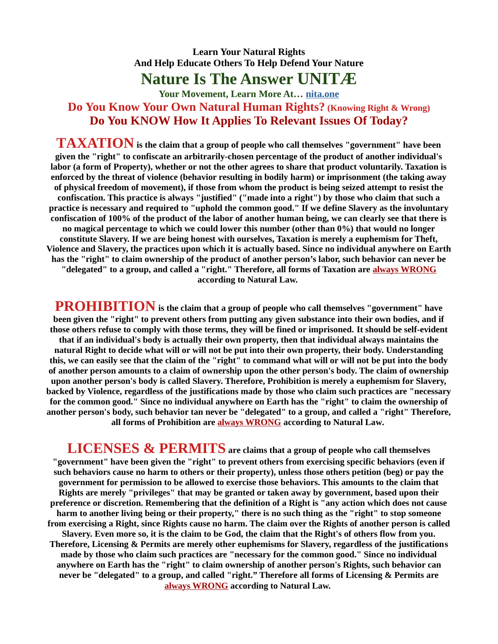# **Nature Is The Answer UNITÆ**

### **Your Movement, Learn More At… nita.one Do You Know Your Own Natural Human Rights? (Knowing Right & Wrong) Do You KNOW How It Applies To Relevant Issues Of Today?**

**TAXATION is the claim that a group of people who call themselves "government" have been given the "right" to confiscate an arbitrarily-chosen percentage of the product of another individual's labor (a form of Property), whether or not the other agrees to share that product voluntarily. Taxation is enforced by the threat of violence (behavior resulting in bodily harm) or imprisonment (the taking away of physical freedom of movement), if those from whom the product is being seized attempt to resist the confiscation. This practice is always "justified" ("made into a right") by those who claim that such a practice is necessary and required to "uphold the common good." If we define Slavery as the involuntary confiscation of 100% of the product of the labor of another human being, we can clearly see that there is no magical percentage to which we could lower this number (other than 0%) that would no longer constitute Slavery. If we are being honest with ourselves, Taxation is merely a euphemism for Theft, Violence and Slavery, the practices upon which it is actually based. Since no individual anywhere on Earth has the "right" to claim ownership of the product of another person's labor, such behavior can never be "delegated" to a group, and called a "right." Therefore, all forms of Taxation are always WRONG according to Natural Law.** 

**PROHIBITION is the claim that a group of people who call themselves "government" have been given the "right" to prevent others from putting any given substance into their own bodies, and if those others refuse to comply with those terms, they will be fined or imprisoned. It should be self-evident that if an individual's body is actually their own property, then that individual always maintains the natural Right to decide what will or will not be put into their own property, their body. Understanding this, we can easily see that the claim of the "right" to command what will or will not be put into the body of another person amounts to a claim of ownership upon the other person's body. The claim of ownership upon another person's body is called Slavery. Therefore, Prohibition is merely a euphemism for Slavery, backed by Violence, regardless of the justifications made by those who claim such practices are "necessary for the common good." Since no individual anywhere on Earth has the "right" to claim the ownership of another person's body, such behavior tan never be "delegated" to a group, and called a "right" Therefore, all forms of Prohibition are always WRONG according to Natural Law.** 

**LICENSES & PERMITS are claims that a group of people who call themselves "government" have been given the "right" to prevent others from exercising specific behaviors (even if such behaviors cause no harm to others or their property), unless those others petition (beg) or pay the government for permission to be allowed to exercise those behaviors. This amounts to the claim that Rights are merely "privileges" that may be granted or taken away by government, based upon their preference or discretion. Remembering that the definition of a Right is "any action which does not cause harm to another living being or their property," there is no such thing as the "right" to stop someone from exercising a Right, since Rights cause no harm. The claim over the Rights of another person is called Slavery. Even more so, it is the claim to be God, the claim that the Right's of others flow from you. Therefore, Licensing & Permits are merely other euphemisms for Slavery, regardless of the justifications made by those who claim such practices are "necessary for the common good." Since no individual anywhere on Earth has the "right" to claim ownership of another person's Rights, such behavior can never be "delegated" to a group, and called "right." Therefore all forms of Licensing & Permits are always WRONG according to Natural Law.**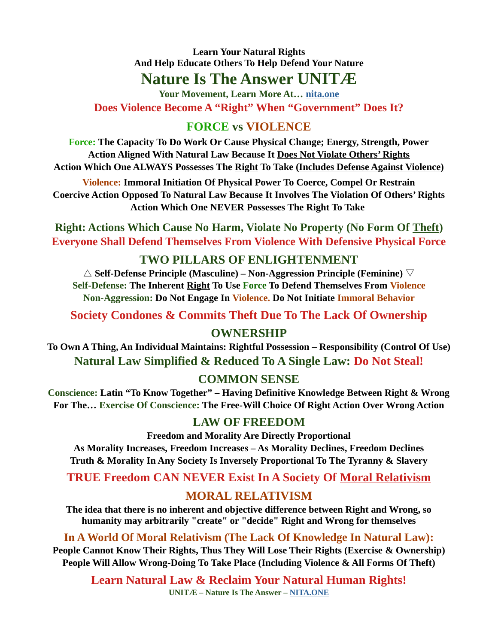# **Nature Is The Answer UNITÆ**

**Your Movement, Learn More At… nita.one Does Violence Become A "Right" When "Government" Does It?**

# **FORCE vs VIOLENCE**

**Force: The Capacity To Do Work Or Cause Physical Change; Energy, Strength, Power Action Aligned With Natural Law Because It Does Not Violate Others' Rights Action Which One ALWAYS Possesses The Right To Take (Includes Defense Against Violence)**

**Violence: Immoral Initiation Of Physical Power To Coerce, Compel Or Restrain Coercive Action Opposed To Natural Law Because It Involves The Violation Of Others' Rights Action Which One NEVER Possesses The Right To Take** 

**Right: Actions Which Cause No Harm, Violate No Property (No Form Of Theft) Everyone Shall Defend Themselves From Violence With Defensive Physical Force**

### **TWO PILLARS OF ENLIGHTENMENT**

△ **Self-Defense Principle (Masculine) – Non-Aggression Principle (Feminine)** ▽ **Self-Defense: The Inherent Right To Use Force To Defend Themselves From Violence Non-Aggression: Do Not Engage In Violence. Do Not Initiate Immoral Behavior**

**Society Condones & Commits Theft Due To The Lack Of Ownership**

# **OWNERSHIP**

**To Own A Thing, An Individual Maintains: Rightful Possession – Responsibility (Control Of Use) Natural Law Simplified & Reduced To A Single Law: Do Not Steal!**

# **COMMON SENSE**

**Conscience: Latin "To Know Together" – Having Definitive Knowledge Between Right & Wrong For The… Exercise Of Conscience: The Free-Will Choice Of Right Action Over Wrong Action**

# **LAW OF FREEDOM**

**Freedom and Morality Are Directly Proportional As Morality Increases, Freedom Increases – As Morality Declines, Freedom Declines Truth & Morality In Any Society Is Inversely Proportional To The Tyranny & Slavery**

**TRUE Freedom CAN NEVER Exist In A Society Of Moral Relativism**

# **MORAL RELATIVISM**

**The idea that there is no inherent and objective difference between Right and Wrong, so humanity may arbitrarily "create" or "decide" Right and Wrong for themselves**

**In A World Of Moral Relativism (The Lack Of Knowledge In Natural Law):**

**People Cannot Know Their Rights, Thus They Will Lose Their Rights (Exercise & Ownership) People Will Allow Wrong-Doing To Take Place (Including Violence & All Forms Of Theft)**

**Learn Natural Law & Reclaim Your Natural Human Rights! UNITÆ – Nature Is The Answer – NITA.ONE**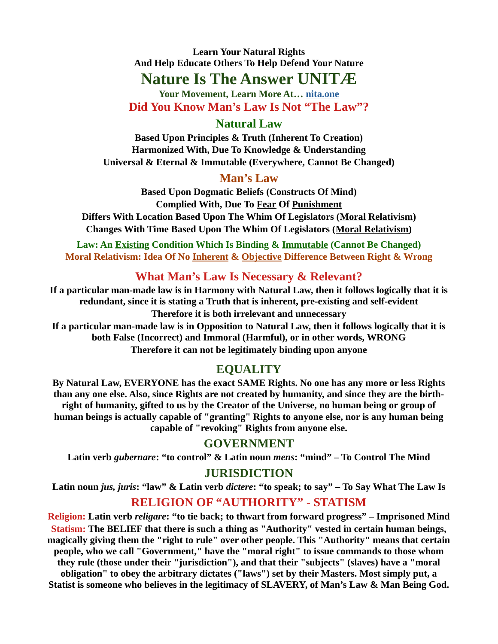# **Nature Is The Answer UNITÆ**

**Your Movement, Learn More At… nita.one Did You Know Man's Law Is Not "The Law"?**

### **Natural Law**

**Based Upon Principles & Truth (Inherent To Creation) Harmonized With, Due To Knowledge & Understanding Universal & Eternal & Immutable (Everywhere, Cannot Be Changed)**

# **Man's Law**

**Based Upon Dogmatic Beliefs (Constructs Of Mind) Complied With, Due To Fear Of Punishment Differs With Location Based Upon The Whim Of Legislators (Moral Relativism) Changes With Time Based Upon The Whim Of Legislators (Moral Relativism)**

**Law: An Existing Condition Which Is Binding & Immutable (Cannot Be Changed) Moral Relativism: Idea Of No Inherent & Objective Difference Between Right & Wrong** 

# **What Man's Law Is Necessary & Relevant?**

**If a particular man-made law is in Harmony with Natural Law, then it follows logically that it is redundant, since it is stating a Truth that is inherent, pre-existing and self-evident Therefore it is both irrelevant and unnecessary**

**If a particular man-made law is in Opposition to Natural Law, then it follows logically that it is both False (Incorrect) and Immoral (Harmful), or in other words, WRONG Therefore it can not be legitimately binding upon anyone**

# **EQUALITY**

**By Natural Law, EVERYONE has the exact SAME Rights. No one has any more or less Rights than any one else. Also, since Rights are not created by humanity, and since they are the birthright of humanity, gifted to us by the Creator of the Universe, no human being or group of human beings is actually capable of "granting" Rights to anyone else, nor is any human being capable of "revoking" Rights from anyone else.**

# **GOVERNMENT**

**Latin verb** *gubernare***: "to control" & Latin noun** *mens***: "mind" – To Control The Mind**

# **JURISDICTION**

**Latin noun** *jus, juris***: "law" & Latin verb** *dictere***: "to speak; to say" – To Say What The Law Is**

# **RELIGION OF "AUTHORITY" - STATISM**

**Religion: Latin verb** *religare***: "to tie back; to thwart from forward progress" – Imprisoned Mind Statism: The BELIEF that there is such a thing as "Authority" vested in certain human beings, magically giving them the "right to rule" over other people. This "Authority" means that certain people, who we call "Government," have the "moral right" to issue commands to those whom they rule (those under their "jurisdiction"), and that their "subjects" (slaves) have a "moral obligation" to obey the arbitrary dictates ("laws") set by their Masters. Most simply put, a Statist is someone who believes in the legitimacy of SLAVERY, of Man's Law & Man Being God.**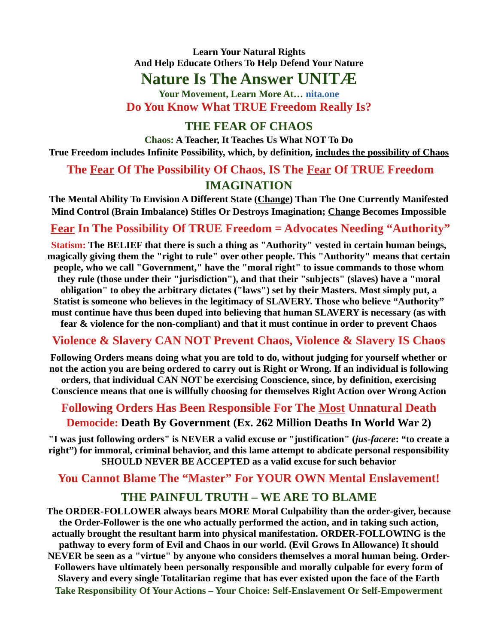# **Nature Is The Answer UNITÆ**

**Your Movement, Learn More At… nita.one Do You Know What TRUE Freedom Really Is?**

# **THE FEAR OF CHAOS**

**Chaos: A Teacher, It Teaches Us What NOT To Do True Freedom includes Infinite Possibility, which, by definition, includes the possibility of Chaos**

# **The Fear Of The Possibility Of Chaos, IS The Fear Of TRUE Freedom IMAGINATION**

**The Mental Ability To Envision A Different State (Change) Than The One Currently Manifested Mind Control (Brain Imbalance) Stifles Or Destroys Imagination; Change Becomes Impossible**

# **Fear In The Possibility Of TRUE Freedom = Advocates Needing "Authority"**

**Statism: The BELIEF that there is such a thing as "Authority" vested in certain human beings, magically giving them the "right to rule" over other people. This "Authority" means that certain people, who we call "Government," have the "moral right" to issue commands to those whom they rule (those under their "jurisdiction"), and that their "subjects" (slaves) have a "moral obligation" to obey the arbitrary dictates ("laws") set by their Masters. Most simply put, a Statist is someone who believes in the legitimacy of SLAVERY. Those who believe "Authority" must continue have thus been duped into believing that human SLAVERY is necessary (as with fear & violence for the non-compliant) and that it must continue in order to prevent Chaos**

# **Violence & Slavery CAN NOT Prevent Chaos, Violence & Slavery IS Chaos**

**Following Orders means doing what you are told to do, without judging for yourself whether or not the action you are being ordered to carry out is Right or Wrong. If an individual is following orders, that individual CAN NOT be exercising Conscience, since, by definition, exercising Conscience means that one is willfully choosing for themselves Right Action over Wrong Action**

# **Following Orders Has Been Responsible For The Most Unnatural Death Democide: Death By Government (Ex. 262 Million Deaths In World War 2)**

**"I was just following orders" is NEVER a valid excuse or "justification" (***jus-facere***: "to create a right") for immoral, criminal behavior, and this lame attempt to abdicate personal responsibility SHOULD NEVER BE ACCEPTED as a valid excuse for such behavior**

# **You Cannot Blame The "Master" For YOUR OWN Mental Enslavement!**

# **THE PAINFUL TRUTH – WE ARE TO BLAME**

**The ORDER-FOLLOWER always bears MORE Moral Culpability than the order-giver, because the Order-Follower is the one who actually performed the action, and in taking such action, actually brought the resultant harm into physical manifestation. ORDER-FOLLOWING is the pathway to every form of Evil and Chaos in our world. (Evil Grows In Allowance) It should NEVER be seen as a "virtue" by anyone who considers themselves a moral human being. Order-Followers have ultimately been personally responsible and morally culpable for every form of Slavery and every single Totalitarian regime that has ever existed upon the face of the Earth Take Responsibility Of Your Actions – Your Choice: Self-Enslavement Or Self-Empowerment**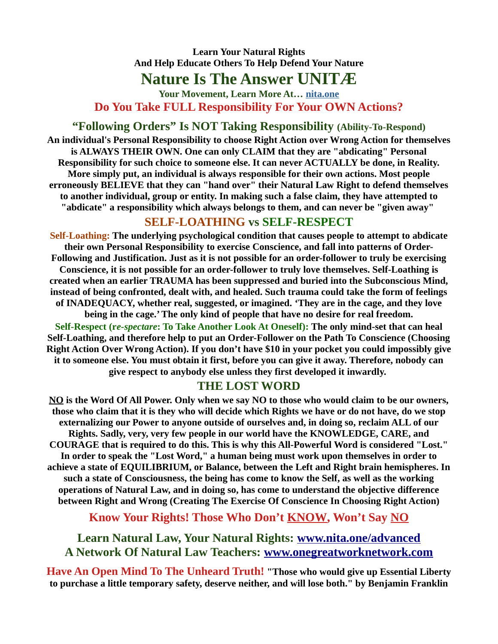# **Nature Is The Answer UNITÆ**

**Your Movement, Learn More At… nita.one Do You Take FULL Responsibility For Your OWN Actions?**

# **"Following Orders" Is NOT Taking Responsibility (Ability-To-Respond)**

**An individual's Personal Responsibility to choose Right Action over Wrong Action for themselves is ALWAYS THEIR OWN. One can only CLAIM that they are "abdicating" Personal Responsibility for such choice to someone else. It can never ACTUALLY be done, in Reality. More simply put, an individual is always responsible for their own actions. Most people erroneously BELIEVE that they can "hand over" their Natural Law Right to defend themselves to another individual, group or entity. In making such a false claim, they have attempted to "abdicate" a responsibility which always belongs to them, and can never be "given away"** 

### **SELF-LOATHING vs SELF-RESPECT**

**Self-Loathing: The underlying psychological condition that causes people to attempt to abdicate their own Personal Responsibility to exercise Conscience, and fall into patterns of Order-Following and Justification. Just as it is not possible for an order-follower to truly be exercising Conscience, it is not possible for an order-follower to truly love themselves. Self-Loathing is created when an earlier TRAUMA has been suppressed and buried into the Subconscious Mind, instead of being confronted, dealt with, and healed. Such trauma could take the form of feelings of INADEQUACY, whether real, suggested, or imagined. 'They are in the cage, and they love being in the cage.' The only kind of people that have no desire for real freedom. Self-Respect (r***e-spectare***: To Take Another Look At Oneself): The only mind-set that can heal Self-Loathing, and therefore help to put an Order-Follower on the Path To Conscience (Choosing Right Action Over Wrong Action). If you don't have \$10 in your pocket you could impossibly give**

**it to someone else. You must obtain it first, before you can give it away. Therefore, nobody can give respect to anybody else unless they first developed it inwardly.** 

### **THE LOST WORD**

**NO is the Word Of All Power. Only when we say NO to those who would claim to be our owners, those who claim that it is they who will decide which Rights we have or do not have, do we stop externalizing our Power to anyone outside of ourselves and, in doing so, reclaim ALL of our Rights. Sadly, very, very few people in our world have the KNOWLEDGE, CARE, and COURAGE that is required to do this. This is why this All-Powerful Word is considered "Lost." In order to speak the "Lost Word," a human being must work upon themselves in order to achieve a state of EQUILIBRIUM, or Balance, between the Left and Right brain hemispheres. In such a state of Consciousness, the being has come to know the Self, as well as the working operations of Natural Law, and in doing so, has come to understand the objective difference between Right and Wrong (Creating The Exercise Of Conscience In Choosing Right Action)**

**Know Your Rights! Those Who Don't KNOW, Won't Say NO**

**Learn Natural Law, Your Natural Rights: [www.nita.one/advanced](http://www.nita.one/advanced) A Network Of Natural Law Teachers: [www.onegreatworknetwork.com](http://www.onegreatworknetwork.com/)**

**Have An Open Mind To The Unheard Truth! "Those who would give up Essential Liberty to purchase a little temporary safety, deserve neither, and will lose both." by Benjamin Franklin**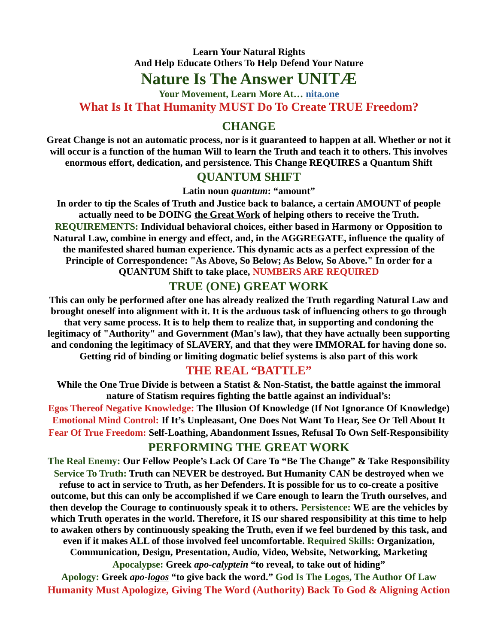# **Nature Is The Answer UNITÆ**

**Your Movement, Learn More At… nita.one What Is It That Humanity MUST Do To Create TRUE Freedom?**

### **CHANGE**

**Great Change is not an automatic process, nor is it guaranteed to happen at all. Whether or not it will occur is a function of the human Will to learn the Truth and teach it to others. This involves enormous effort, dedication, and persistence. This Change REQUIRES a Quantum Shift**

### **QUANTUM SHIFT**

**Latin noun** *quantum***: "amount"**

**In order to tip the Scales of Truth and Justice back to balance, a certain AMOUNT of people actually need to be DOING the Great Work of helping others to receive the Truth. REQUIREMENTS: Individual behavioral choices, either based in Harmony or Opposition to Natural Law, combine in energy and effect, and, in the AGGREGATE, influence the quality of the manifested shared human experience. This dynamic acts as a perfect expression of the Principle of Correspondence: "As Above, So Below; As Below, So Above." In order for a QUANTUM Shift to take place, NUMBERS ARE REQUIRED**

### **TRUE (ONE) GREAT WORK**

**This can only be performed after one has already realized the Truth regarding Natural Law and brought oneself into alignment with it. It is the arduous task of influencing others to go through that very same process. It is to help them to realize that, in supporting and condoning the legitimacy of "Authority" and Government (Man's law), that they have actually been supporting and condoning the legitimacy of SLAVERY, and that they were IMMORAL for having done so. Getting rid of binding or limiting dogmatic belief systems is also part of this work**

### **THE REAL "BATTLE"**

**While the One True Divide is between a Statist & Non-Statist, the battle against the immoral nature of Statism requires fighting the battle against an individual's:**

**Egos Thereof Negative Knowledge: The Illusion Of Knowledge (If Not Ignorance Of Knowledge) Emotional Mind Control: If It's Unpleasant, One Does Not Want To Hear, See Or Tell About It Fear Of True Freedom: Self-Loathing, Abandonment Issues, Refusal To Own Self-Responsibility**

### **PERFORMING THE GREAT WORK**

**The Real Enemy: Our Fellow People's Lack Of Care To "Be The Change" & Take Responsibility Service To Truth: Truth can NEVER be destroyed. But Humanity CAN be destroyed when we refuse to act in service to Truth, as her Defenders. It is possible for us to co-create a positive outcome, but this can only be accomplished if we Care enough to learn the Truth ourselves, and then develop the Courage to continuously speak it to others. Persistence: WE are the vehicles by which Truth operates in the world. Therefore, it IS our shared responsibility at this time to help to awaken others by continuously speaking the Truth, even if we feel burdened by this task, and even if it makes ALL of those involved feel uncomfortable. Required Skills: Organization, Communication, Design, Presentation, Audio, Video, Website, Networking, Marketing Apocalypse: Greek** *apo-calyptein* **"to reveal, to take out of hiding"**

**Apology: Greek** *apo-logos* **"to give back the word." God Is The Logos, The Author Of Law Humanity Must Apologize, Giving The Word (Authority) Back To God & Aligning Action**